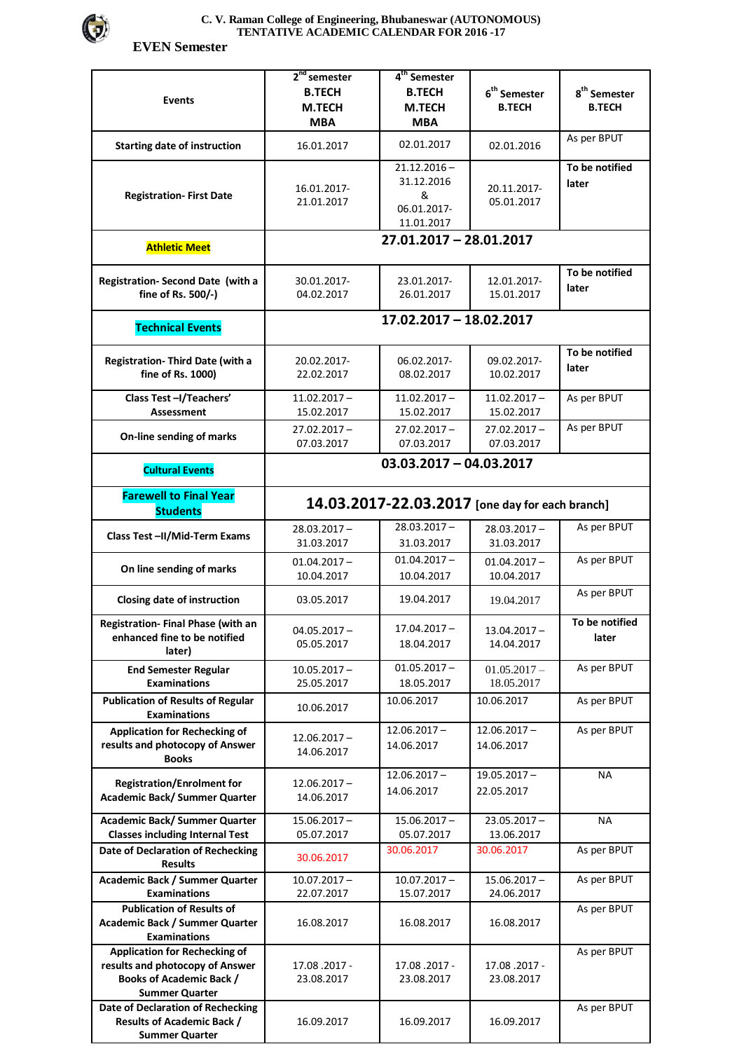

## **C. V. Raman College of Engineering, Bhubaneswar (AUTONOMOUS) TENTATIVE ACADEMIC CALENDAR FOR 2016 -17**

 **EVEN Semester** 

| Events                                                                                                                              | $2nd$ semester<br><b>B.TECH</b><br>M.TECH<br><b>MBA</b> | 4 <sup>th</sup> Semester<br><b>B.TECH</b><br><b>M.TECH</b><br><b>MBA</b> | $\boldsymbol{6}^{\text{th}}$ Semester<br><b>B.TECH</b> | $\textbf{8}^{\text{th}}$ Semester<br><b>B.TECH</b> |  |  |
|-------------------------------------------------------------------------------------------------------------------------------------|---------------------------------------------------------|--------------------------------------------------------------------------|--------------------------------------------------------|----------------------------------------------------|--|--|
| <b>Starting date of instruction</b>                                                                                                 | 16.01.2017                                              | 02.01.2017                                                               | 02.01.2016                                             | As per BPUT                                        |  |  |
| <b>Registration-First Date</b>                                                                                                      | 16.01.2017-<br>21.01.2017                               | $21.12.2016 -$<br>31.12.2016<br>&<br>06.01.2017-<br>11.01.2017           | 20.11.2017-<br>05.01.2017                              | To be notified<br>later                            |  |  |
| <b>Athletic Meet</b>                                                                                                                | 27.01.2017 - 28.01.2017                                 |                                                                          |                                                        |                                                    |  |  |
| Registration- Second Date (with a<br>fine of Rs. 500/-)                                                                             | 30.01.2017-<br>04.02.2017                               | 23.01.2017-<br>26.01.2017                                                | 12.01.2017-<br>15.01.2017                              | To be notified<br>later                            |  |  |
| <b>Technical Events</b>                                                                                                             | 17.02.2017 - 18.02.2017                                 |                                                                          |                                                        |                                                    |  |  |
| Registration- Third Date (with a<br>fine of Rs. 1000)                                                                               | 20.02.2017-<br>22.02.2017                               | 06.02.2017-<br>08.02.2017                                                | 09.02.2017-<br>10.02.2017                              | To be notified<br>later                            |  |  |
| Class Test -I/Teachers'<br><b>Assessment</b>                                                                                        | $11.02.2017 -$<br>15.02.2017                            | $11.02.2017 -$<br>15.02.2017                                             | $11.02.2017 -$<br>15.02.2017                           | As per BPUT                                        |  |  |
| On-line sending of marks                                                                                                            | $27.02.2017 -$<br>07.03.2017                            | $27.02.2017 -$<br>07.03.2017                                             | $27.02.2017 -$<br>07.03.2017                           | As per BPUT                                        |  |  |
| <b>Cultural Events</b>                                                                                                              | $03.03.2017 - 04.03.2017$                               |                                                                          |                                                        |                                                    |  |  |
| <b>Farewell to Final Year</b><br><b>Students</b>                                                                                    | 14.03.2017-22.03.2017 [one day for each branch]         |                                                                          |                                                        |                                                    |  |  |
| Class Test-II/Mid-Term Exams                                                                                                        | $28.03.2017 -$<br>31.03.2017                            | $28.03.2017 -$<br>31.03.2017                                             | $28.03.2017 -$<br>31.03.2017                           | As per BPUT                                        |  |  |
| On line sending of marks                                                                                                            | $01.04.2017 -$<br>10.04.2017                            | $01.04.2017 -$<br>10.04.2017                                             | $01.04.2017 -$<br>10.04.2017                           | As per BPUT                                        |  |  |
| Closing date of instruction                                                                                                         | 03.05.2017                                              | 19.04.2017                                                               | 19.04.2017                                             | As per BPUT                                        |  |  |
| Registration- Final Phase (with an<br>enhanced fine to be notified<br>later)                                                        | $04.05.2017 -$<br>05.05.2017                            | $17.04.2017 -$<br>18.04.2017                                             | $13.04.2017 -$<br>14.04.2017                           | To be notified<br>later                            |  |  |
| <b>End Semester Regular</b><br><b>Examinations</b>                                                                                  | $10.05.2017 -$<br>25.05.2017                            | $01.05.2017 -$<br>18.05.2017                                             | $01.05.2017 -$<br>18.05.2017                           | As per BPUT                                        |  |  |
| <b>Publication of Results of Regular</b><br><b>Examinations</b>                                                                     | 10.06.2017                                              | 10.06.2017                                                               | 10.06.2017                                             | As per BPUT                                        |  |  |
| <b>Application for Rechecking of</b><br>results and photocopy of Answer<br><b>Books</b>                                             | $12.06.2017 -$<br>14.06.2017                            | $12.06.2017 -$<br>14.06.2017                                             | $12.06.2017 -$<br>14.06.2017                           | As per BPUT                                        |  |  |
| <b>Registration/Enrolment for</b><br>Academic Back/Summer Quarter                                                                   | $12.06.2017 -$<br>14.06.2017                            | $12.06.2017 -$<br>14.06.2017                                             | $19.05.2017 -$<br>22.05.2017                           | <b>NA</b>                                          |  |  |
| <b>Academic Back/ Summer Quarter</b><br><b>Classes including Internal Test</b>                                                      | $15.06.2017 -$<br>05.07.2017                            | $15.06.2017 -$<br>05.07.2017                                             | $23.05.2017 -$<br>13.06.2017                           | <b>NA</b>                                          |  |  |
| Date of Declaration of Rechecking<br><b>Results</b>                                                                                 | 30.06.2017                                              | 30.06.2017                                                               | 30.06.2017                                             | As per BPUT                                        |  |  |
| <b>Academic Back / Summer Quarter</b><br><b>Examinations</b>                                                                        | $10.07.2017 -$<br>22.07.2017                            | $10.07.2017 -$<br>15.07.2017                                             | $15.06.2017 -$<br>24.06.2017                           | As per BPUT                                        |  |  |
| <b>Publication of Results of</b><br>Academic Back / Summer Quarter<br><b>Examinations</b>                                           | 16.08.2017                                              | 16.08.2017                                                               | 16.08.2017                                             | As per BPUT                                        |  |  |
| <b>Application for Rechecking of</b><br>results and photocopy of Answer<br><b>Books of Academic Back /</b><br><b>Summer Quarter</b> | 17.08.2017 -<br>23.08.2017                              | 17.08.2017 -<br>23.08.2017                                               | 17.08.2017 -<br>23.08.2017                             | As per BPUT                                        |  |  |
| <b>Date of Declaration of Rechecking</b><br><b>Results of Academic Back /</b><br><b>Summer Quarter</b>                              | 16.09.2017                                              | 16.09.2017                                                               | 16.09.2017                                             | As per BPUT                                        |  |  |